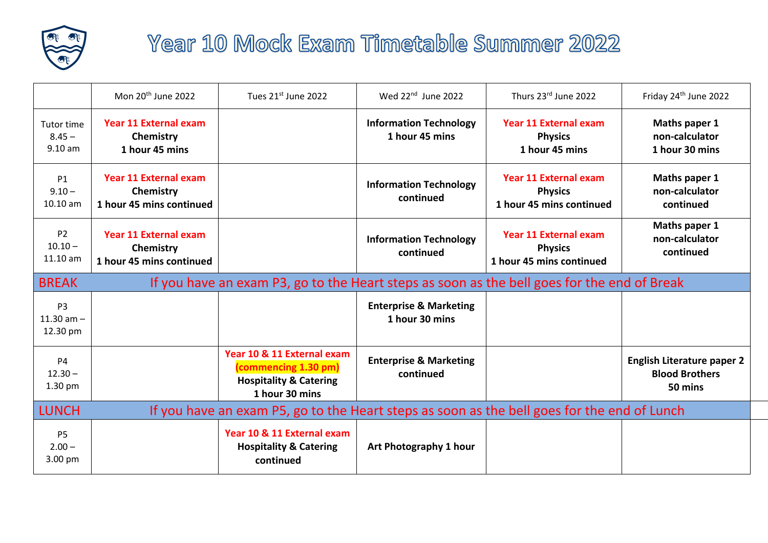

## Year 10 Mock Exam Timetable Summer 2022

|                                                                                                             | Mon 20 <sup>th</sup> June 2022                                                              | Tues 21st June 2022                                                                                       | Wed 22 <sup>nd</sup> June 2022                      | Thurs 23rd June 2022                                                       | Friday 24 <sup>th</sup> June 2022                                     |  |  |
|-------------------------------------------------------------------------------------------------------------|---------------------------------------------------------------------------------------------|-----------------------------------------------------------------------------------------------------------|-----------------------------------------------------|----------------------------------------------------------------------------|-----------------------------------------------------------------------|--|--|
| Tutor time<br>$8.45 -$<br>$9.10 a$ m                                                                        | <b>Year 11 External exam</b><br>Chemistry<br>1 hour 45 mins                                 |                                                                                                           | <b>Information Technology</b><br>1 hour 45 mins     | <b>Year 11 External exam</b><br><b>Physics</b><br>1 hour 45 mins           | Maths paper 1<br>non-calculator<br>1 hour 30 mins                     |  |  |
| <b>P1</b><br>$9.10 -$<br>10.10 am                                                                           | <b>Year 11 External exam</b><br>Chemistry<br>1 hour 45 mins continued                       |                                                                                                           | <b>Information Technology</b><br>continued          | <b>Year 11 External exam</b><br><b>Physics</b><br>1 hour 45 mins continued | Maths paper 1<br>non-calculator<br>continued                          |  |  |
| P <sub>2</sub><br>$10.10 -$<br>11.10 am                                                                     | <b>Year 11 External exam</b><br>Chemistry<br>1 hour 45 mins continued                       |                                                                                                           | <b>Information Technology</b><br>continued          | <b>Year 11 External exam</b><br><b>Physics</b><br>1 hour 45 mins continued | Maths paper 1<br>non-calculator<br>continued                          |  |  |
| <b>BREAK</b>                                                                                                | If you have an exam P3, go to the Heart steps as soon as the bell goes for the end of Break |                                                                                                           |                                                     |                                                                            |                                                                       |  |  |
| P <sub>3</sub><br>11.30 $am -$<br>12.30 pm                                                                  |                                                                                             |                                                                                                           | <b>Enterprise &amp; Marketing</b><br>1 hour 30 mins |                                                                            |                                                                       |  |  |
| <b>P4</b><br>$12.30 -$<br>1.30 pm                                                                           |                                                                                             | Year 10 & 11 External exam<br>(commencing 1.30 pm)<br><b>Hospitality &amp; Catering</b><br>1 hour 30 mins | <b>Enterprise &amp; Marketing</b><br>continued      |                                                                            | <b>English Literature paper 2</b><br><b>Blood Brothers</b><br>50 mins |  |  |
| If you have an exam P5, go to the Heart steps as soon as the bell goes for the end of Lunch<br><b>LUNCH</b> |                                                                                             |                                                                                                           |                                                     |                                                                            |                                                                       |  |  |
| P <sub>5</sub><br>$2.00 -$<br>3.00 pm                                                                       |                                                                                             | Year 10 & 11 External exam<br><b>Hospitality &amp; Catering</b><br>continued                              | Art Photography 1 hour                              |                                                                            |                                                                       |  |  |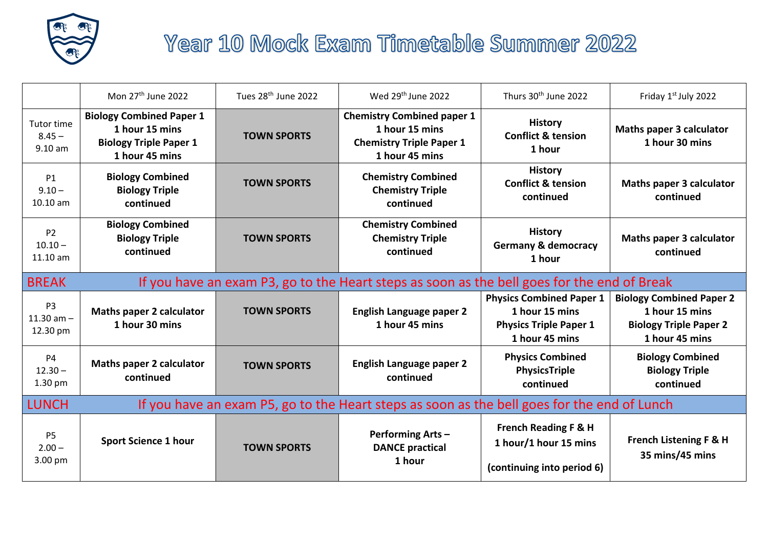

## Year 10 Mock Exam Timetable Summer 2022

|                                                      | Mon 27 <sup>th</sup> June 2022                                                                       | Tues 28 <sup>th</sup> June 2022 | Wed 29 <sup>th</sup> June 2022                                                                           | Thurs 30 <sup>th</sup> June 2022                                                                     | Friday 1st July 2022                                                                                 |  |  |
|------------------------------------------------------|------------------------------------------------------------------------------------------------------|---------------------------------|----------------------------------------------------------------------------------------------------------|------------------------------------------------------------------------------------------------------|------------------------------------------------------------------------------------------------------|--|--|
| <b>Tutor time</b><br>$8.45 -$<br>9.10 a <sub>m</sub> | <b>Biology Combined Paper 1</b><br>1 hour 15 mins<br><b>Biology Triple Paper 1</b><br>1 hour 45 mins | <b>TOWN SPORTS</b>              | <b>Chemistry Combined paper 1</b><br>1 hour 15 mins<br><b>Chemistry Triple Paper 1</b><br>1 hour 45 mins | <b>History</b><br><b>Conflict &amp; tension</b><br>1 hour                                            | <b>Maths paper 3 calculator</b><br>1 hour 30 mins                                                    |  |  |
| <b>P1</b><br>$9.10 -$<br>10.10 am                    | <b>Biology Combined</b><br><b>Biology Triple</b><br>continued                                        | <b>TOWN SPORTS</b>              | <b>Chemistry Combined</b><br><b>Chemistry Triple</b><br>continued                                        | <b>History</b><br><b>Conflict &amp; tension</b><br>continued                                         | <b>Maths paper 3 calculator</b><br>continued                                                         |  |  |
| P <sub>2</sub><br>$10.10 -$<br>11.10 am              | <b>Biology Combined</b><br><b>Biology Triple</b><br>continued                                        | <b>TOWN SPORTS</b>              | <b>Chemistry Combined</b><br><b>Chemistry Triple</b><br>continued                                        | <b>History</b><br><b>Germany &amp; democracy</b><br>1 hour                                           | <b>Maths paper 3 calculator</b><br>continued                                                         |  |  |
| <b>BREAK</b>                                         | If you have an exam P3, go to the Heart steps as soon as the bell goes for the end of Break          |                                 |                                                                                                          |                                                                                                      |                                                                                                      |  |  |
| P <sub>3</sub><br>11.30 $am -$<br>12.30 pm           | <b>Maths paper 2 calculator</b><br>1 hour 30 mins                                                    | <b>TOWN SPORTS</b>              | <b>English Language paper 2</b><br>1 hour 45 mins                                                        | <b>Physics Combined Paper 1</b><br>1 hour 15 mins<br><b>Physics Triple Paper 1</b><br>1 hour 45 mins | <b>Biology Combined Paper 2</b><br>1 hour 15 mins<br><b>Biology Triple Paper 2</b><br>1 hour 45 mins |  |  |
| <b>P4</b><br>$12.30 -$<br>$1.30$ pm                  | <b>Maths paper 2 calculator</b><br>continued                                                         | <b>TOWN SPORTS</b>              | <b>English Language paper 2</b><br>continued                                                             | <b>Physics Combined</b><br><b>PhysicsTriple</b><br>continued                                         | <b>Biology Combined</b><br><b>Biology Triple</b><br>continued                                        |  |  |
| <b>LUNCH</b>                                         | If you have an exam P5, go to the Heart steps as soon as the bell goes for the end of Lunch          |                                 |                                                                                                          |                                                                                                      |                                                                                                      |  |  |
| <b>P5</b><br>$2.00 -$<br>3.00 pm                     | <b>Sport Science 1 hour</b>                                                                          | <b>TOWN SPORTS</b>              | <b>Performing Arts-</b><br><b>DANCE practical</b><br>1 hour                                              | <b>French Reading F &amp; H</b><br>1 hour/1 hour 15 mins<br>(continuing into period 6)               | French Listening F & H<br>35 mins/45 mins                                                            |  |  |